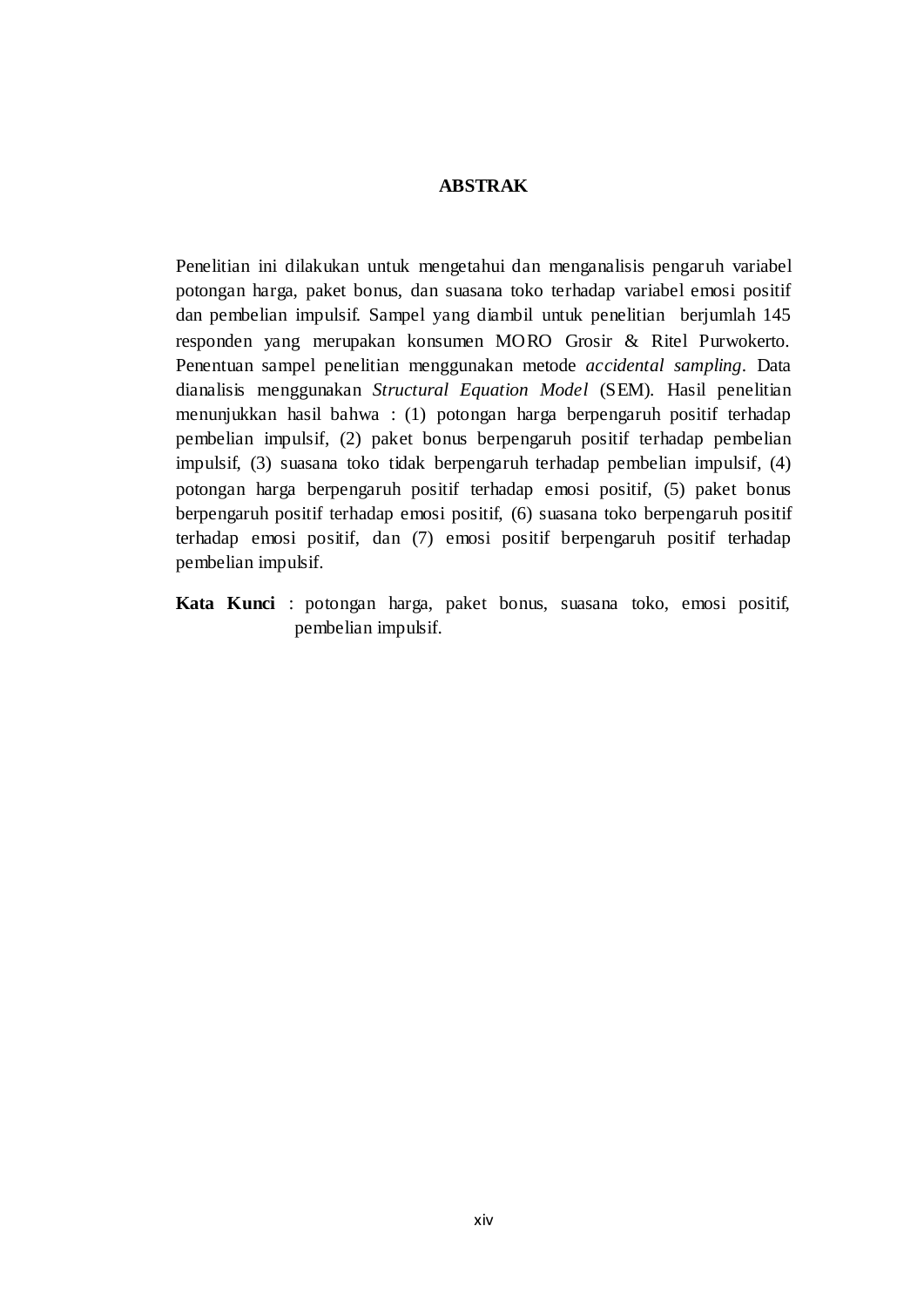## **ABSTRAK**

Penelitian ini dilakukan untuk mengetahui dan menganalisis pengaruh variabel potongan harga, paket bonus, dan suasana toko terhadap variabel emosi positif dan pembelian impulsif. Sampel yang diambil untuk penelitian berjumlah 145 responden yang merupakan konsumen MORO Grosir & Ritel Purwokerto. Penentuan sampel penelitian menggunakan metode *accidental sampling*. Data dianalisis menggunakan *Structural Equation Model* (SEM). Hasil penelitian menunjukkan hasil bahwa : (1) potongan harga berpengaruh positif terhadap pembelian impulsif, (2) paket bonus berpengaruh positif terhadap pembelian impulsif, (3) suasana toko tidak berpengaruh terhadap pembelian impulsif, (4) potongan harga berpengaruh positif terhadap emosi positif, (5) paket bonus berpengaruh positif terhadap emosi positif, (6) suasana toko berpengaruh positif terhadap emosi positif, dan (7) emosi positif berpengaruh positif terhadap pembelian impulsif.

**Kata Kunci** : potongan harga, paket bonus, suasana toko, emosi positif, pembelian impulsif.